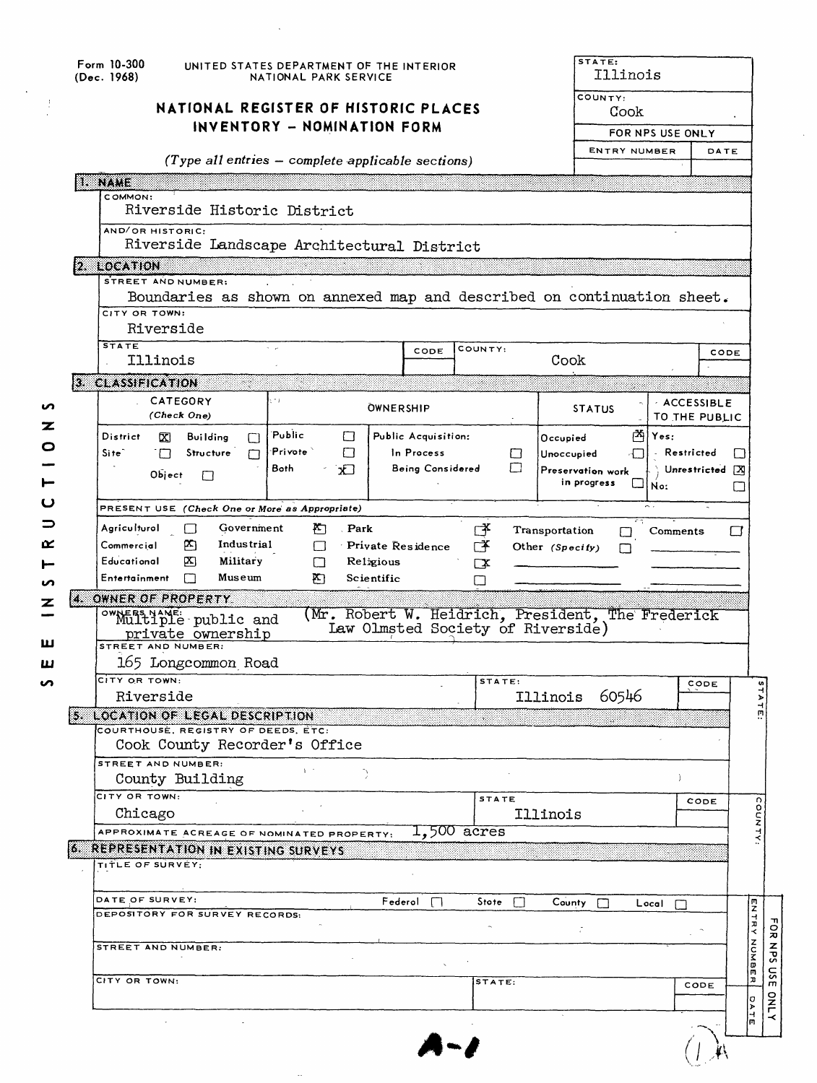|   |                                                                     | Form 10-300<br>UNITED STATES DEPARTMENT OF THE INTERIOR<br>(Dec. 1968)<br>NATIONAL PARK SERVICE                |                                    |                                   |                       |                                                   | STATE:<br>Illinois                  |                                    |  |  |  |
|---|---------------------------------------------------------------------|----------------------------------------------------------------------------------------------------------------|------------------------------------|-----------------------------------|-----------------------|---------------------------------------------------|-------------------------------------|------------------------------------|--|--|--|
|   | NATIONAL REGISTER OF HISTORIC PLACES<br>INVENTORY - NOMINATION FORM |                                                                                                                |                                    |                                   |                       |                                                   | COUNTY:<br>Cook<br>FOR NPS USE ONLY |                                    |  |  |  |
|   |                                                                     | $(Type$ all entries $-$ complete applicable sections)                                                          |                                    |                                   |                       | <b>ENTRY NUMBER</b>                               |                                     | DATE                               |  |  |  |
|   | <b>I. NAME</b>                                                      |                                                                                                                |                                    |                                   |                       |                                                   |                                     |                                    |  |  |  |
|   |                                                                     | COMMON:<br>Riverside Historic District                                                                         |                                    |                                   |                       |                                                   |                                     |                                    |  |  |  |
|   |                                                                     | AND/OR HISTORIC:                                                                                               |                                    |                                   |                       |                                                   |                                     |                                    |  |  |  |
|   |                                                                     | Riverside Landscape Architectural District                                                                     |                                    |                                   |                       |                                                   |                                     |                                    |  |  |  |
|   |                                                                     | 2. LOCATION                                                                                                    |                                    |                                   |                       |                                                   |                                     |                                    |  |  |  |
|   |                                                                     | STREET AND NUMBER:<br>Boundaries as shown on annexed map and described on continuation sheet.<br>CITY OR TOWN: |                                    |                                   |                       |                                                   |                                     |                                    |  |  |  |
|   |                                                                     | Riverside                                                                                                      |                                    |                                   |                       |                                                   |                                     |                                    |  |  |  |
|   |                                                                     | <b>STATE</b><br>Illinois                                                                                       |                                    | CODE                              | COUNTY:               | Cook                                              |                                     | CODE                               |  |  |  |
|   |                                                                     | 3. CLASSIFICATION                                                                                              |                                    |                                   |                       |                                                   |                                     |                                    |  |  |  |
| n |                                                                     | CATEGORY                                                                                                       | Ξ£                                 | <b>OWNERSHIP</b>                  |                       | <b>STATUS</b>                                     | <b>ACCESSIBLE</b>                   |                                    |  |  |  |
| z |                                                                     | (Check One)                                                                                                    |                                    |                                   |                       |                                                   | TO THE PUBLIC                       |                                    |  |  |  |
| O |                                                                     | District<br>∞<br><b>Building</b><br>П<br>Site <sup>-</sup><br>Structure<br>m                                   | Public<br>ப<br>'Privote`<br>$\Box$ | Public Acquisition:<br>In Process |                       | 内<br>Occupied<br>Unoccupied                       | Yes:<br>Restricted                  |                                    |  |  |  |
|   |                                                                     | П                                                                                                              | Both<br>хJ                         | Being Considered                  | □<br>□                | Preservation work                                 |                                     | U<br>Unrestricted X                |  |  |  |
|   |                                                                     | Object<br>□                                                                                                    |                                    |                                   |                       | in progress                                       | No:                                 | U                                  |  |  |  |
| ပ |                                                                     | PRESENT USE (Check One or More as Appropriate)                                                                 |                                    |                                   |                       |                                                   |                                     |                                    |  |  |  |
| ⊃ |                                                                     | Agriculturol<br>Government<br>ſΙ                                                                               | Park<br>F٦                         |                                   | Γ¥                    | 73<br>Transportation<br>∟                         | Comments                            | ⊆                                  |  |  |  |
| ≃ |                                                                     | Commercial<br>Industrial<br>P٦                                                                                 | ┌─                                 | Private Residence                 | $\Gamma^{\mathbf{X}}$ | Other (Specify)<br>$\mathsf{L}$                   |                                     |                                    |  |  |  |
|   |                                                                     | Educational<br>Military<br>内<br>Entertainment<br>Museum<br>Г                                                   | П<br>m                             | Religious<br>Scientific           | $\Box$                |                                                   |                                     |                                    |  |  |  |
| n |                                                                     | OWNER OF PROPERTY                                                                                              |                                    |                                   |                       |                                                   |                                     |                                    |  |  |  |
| z |                                                                     | ownthitiple public and                                                                                         |                                    |                                   |                       | (Mr. Robert W. Heidrich, President, The Frederick |                                     |                                    |  |  |  |
|   |                                                                     | private ownership                                                                                              |                                    | Law Olmsted Society of Riverside) |                       |                                                   |                                     |                                    |  |  |  |
| ш |                                                                     | STREET AND NUMBER:<br>165 Longcommon Road                                                                      |                                    |                                   |                       |                                                   |                                     |                                    |  |  |  |
| ш |                                                                     | CITY OR TOWN:                                                                                                  |                                    |                                   | STATE:                |                                                   | CODE                                |                                    |  |  |  |
|   |                                                                     | Riverside                                                                                                      |                                    |                                   |                       | 60546<br>Illinois                                 |                                     | 747                                |  |  |  |
|   |                                                                     | 5. LOCATION OF LEGAL DESCRIPTION                                                                               |                                    |                                   |                       |                                                   |                                     | ш                                  |  |  |  |
|   |                                                                     | COURTHOUSE, REGISTRY OF DEEDS, ETC:                                                                            |                                    |                                   |                       |                                                   |                                     |                                    |  |  |  |
|   |                                                                     |                                                                                                                |                                    |                                   |                       |                                                   |                                     |                                    |  |  |  |
|   |                                                                     | Cook County Recorder's Office                                                                                  |                                    |                                   |                       |                                                   |                                     |                                    |  |  |  |
|   |                                                                     | STREET AND NUMBER:<br>County Building                                                                          |                                    |                                   |                       |                                                   | $\lambda$                           |                                    |  |  |  |
|   |                                                                     | CITY OR TOWN:                                                                                                  |                                    |                                   | <b>STATE</b>          |                                                   | CODE                                |                                    |  |  |  |
|   |                                                                     | Chicago                                                                                                        |                                    |                                   |                       | Illinois                                          |                                     |                                    |  |  |  |
|   |                                                                     | APPROXIMATE ACREAGE OF NOMINATED PROPERTY:                                                                     |                                    | $1,500$ acres                     |                       |                                                   |                                     | COUNTY                             |  |  |  |
|   |                                                                     | <b>6. REPRESENTATION IN EXISTING SURVEYS</b><br>TITLE OF SURVEY:                                               |                                    |                                   |                       |                                                   |                                     |                                    |  |  |  |
|   |                                                                     |                                                                                                                |                                    |                                   |                       |                                                   |                                     |                                    |  |  |  |
|   |                                                                     | DATE OF SURVEY:                                                                                                |                                    | $F$ ederol $\Box$                 | Stote<br>TТ           | County                                            | Local                               |                                    |  |  |  |
|   |                                                                     | DEPOSITORY FOR SURVEY RECORDS:                                                                                 |                                    |                                   |                       |                                                   |                                     | m<br>Z                             |  |  |  |
|   |                                                                     | STREET AND NUMBER:                                                                                             |                                    |                                   |                       |                                                   |                                     | TRRY                               |  |  |  |
|   |                                                                     |                                                                                                                |                                    |                                   |                       |                                                   |                                     | <b>FOR NPS</b><br><b>NUMB</b><br>m |  |  |  |
|   |                                                                     | CITY OR TOWN:                                                                                                  |                                    |                                   | STATE:                |                                                   | CODE                                | SC<br>고                            |  |  |  |
|   |                                                                     |                                                                                                                |                                    |                                   |                       |                                                   |                                     | ¦₽                                 |  |  |  |
|   |                                                                     |                                                                                                                |                                    |                                   |                       |                                                   |                                     | <b>ONLY</b>                        |  |  |  |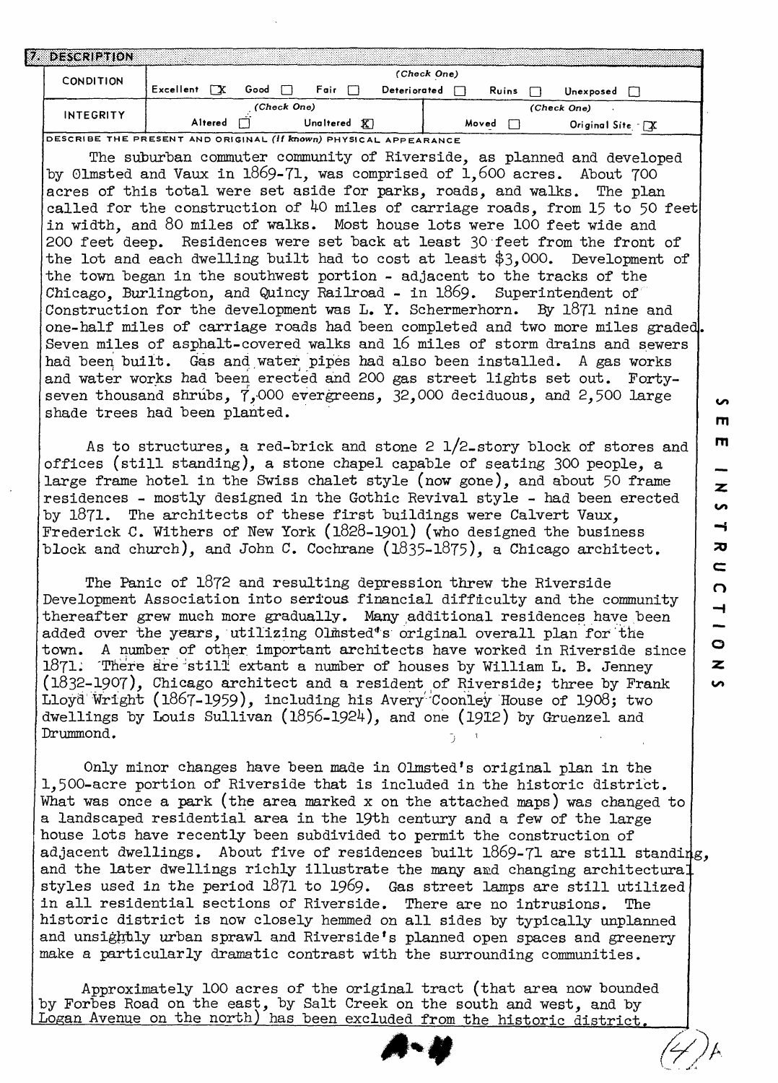| DESCRIPTION      |                                                                 |  |  |  |  |  |
|------------------|-----------------------------------------------------------------|--|--|--|--|--|
| <b>CONDITION</b> | (Check One)                                                     |  |  |  |  |  |
|                  | Excellent<br>Good<br>Fair<br>Deteriorated<br>Ruins<br>Unexposed |  |  |  |  |  |
| INTEGRITY        | (Check One)<br>(Check One)                                      |  |  |  |  |  |
|                  | Altered<br>ΚI<br>Unaltered<br>Moved<br>Original Site TX         |  |  |  |  |  |

**DESCRIBE THE PRESENT AND ORIGINAL (if known) PHYSICAL APPEARANCE**

The suburban commuter community of Riverside, as planned and developed by Glmsted and Vaux in 1869-71, was comprised of  $1,600$  acres. About  $700$ acres of this total were set aside for parks, roads, and walks. The plan called for the construction of 40 miles of carriage roads, from 15 to 50 feet in width, and 80 miles of walks. Most house lots were 100 feet wide and 200 feet deep. Residences were set back at least 30-feet from the front of the lot and each dwelling built had to cost at least  $$3,000$ . Development of the town began in the southwest portion - adjacent to the tracks of the Chicago, Burlington, and Quincy Railroad - in  $1869$ . Superintendent of Construction for the development was L. Y. Schermerhorn. By 1871 nine and one-half miles of carriage roads had been completed and two more miles graded. Seven miles of asphalt-covered walks and 16 miles of storm drains and sewers had been built. Gas and water pipes had also been installed. A gas works and water works had been erected and 200 gas street lights set out. Fortyseven thousand shrubs, 7,000 evergreens, 32,000 deciduous, and 2,500 large shade trees had been planted.

As to structures, a red-brick and stone 2 l/2\_story block of stores and offices (still standing), a stone chapel capable of seating 300 people, a large frame hotel in the Swiss chalet style (now gone), and about 50 frame residences - mostly designed in the Gothic Revival style - had been erected by 1871. The architects of these first buildings were Calvert Vaux, Frederick C. Withers of New York  $(1828-1901)$  (who designed the business block and church), and John C. Cochrane  $(1835-1875)$ , a Chicago architect.

The Panic of 1872 and resulting depression threw the Riverside Development Association into serious financial difficulty and the community thereafter grew much more gradually. Many additional residences have been added over the years, utilizing Olmsted\*s original overall plan for'the town. A number of other important architects have worked in Riverside since 1871. There are still extant a number of houses by William L. B. Jenney (1832-1907), Chicago architect and a resident of Riverside; three by Frank Lloyd Wright (1867-1959), including his Avery Coonley House of 1908; two dwellings by Louis Sullivan (1856-1924), and one (1912) by Gruenzel and Drummond.

Only minor changes have been made in Olmsted's original plan in the 1,500-acre portion of Riverside that is included in the historic district, What was once a park (the area marked x on the attached maps) was changed to a landscaped residential area in the 19th century and a few of the large bouse lots have recently been subdivided to permit the construction of adjacent dwellings. About five of residences built 1869-71 are still standing, and the later dwellings richly illustrate the many and changing architectural styles used in the period 1871 to 1969. Gas street lamps are still utilized in all residential sections of Riverside. There are no intrusions. The historic district is now closely hemmed on all sides by typically unplanned and unsightly urban sprawl and Riverside's planned open spaces and greenery make a particularly dramatic contrast with the surrounding communities.

Approximately 100 acres of the original tract (that area now bounded by Forbes Road on the east, by Salt Creek on the south and west, and by Logan Avenue on the north) has been excluded from the historic district.

m

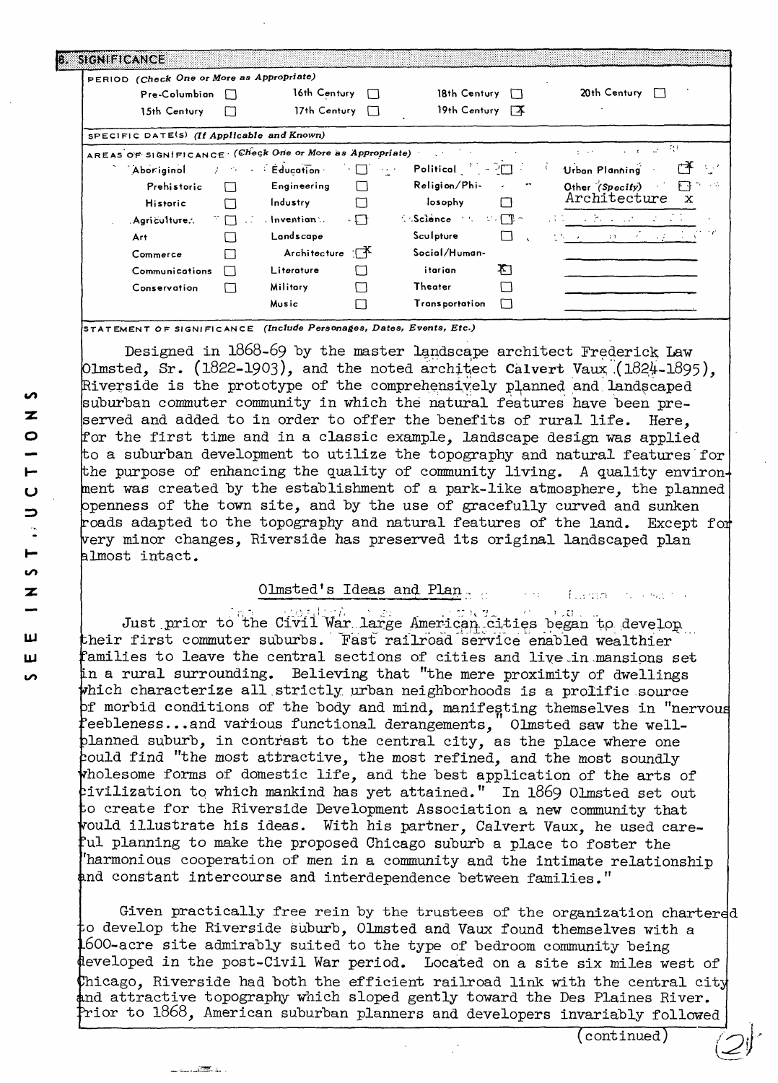| PERIOD (Check One or More as Appropriate)                |              |                               |              |                                                                      |              |                                                                   |        |
|----------------------------------------------------------|--------------|-------------------------------|--------------|----------------------------------------------------------------------|--------------|-------------------------------------------------------------------|--------|
| Pre-Columbian                                            | -1. 1        | 16th Century                  | П            | 18th Century                                                         | $\Box$       | $20th$ Century $\Box$                                             |        |
| 15th Century                                             |              | 17th Century                  | $\Box$       | 19th Century 7                                                       |              |                                                                   |        |
| SPECIFIC DATE(S) (If Applicable and Known)               |              |                               |              |                                                                      |              |                                                                   |        |
| AREAS OF SIGNIFICANCE (Check One or More as Appropriate) |              |                               |              | しょくさい                                                                |              | $\alpha = \alpha - \alpha$ . The $\alpha$<br>$\alpha = 1, 2, 3$ . | -71    |
| Aboriginol                                               |              | $2 \times 10^{-12}$ Education | $\cdot \Box$ | Political $\begin{bmatrix} 1 & -2 & -1 \\ -2 & -1 & 1 \end{bmatrix}$ |              | Urban Planning                                                    |        |
| Prehistoric                                              | $\Box$       | Engineering                   | $\Box$       | Religion/Phi-                                                        | $\epsilon$   | Other (Specify)                                                   | ⊢कि? प |
| Historic                                                 | ⊓            | <b>Industry</b>               | П            | losophy                                                              | ⊓            | Architecture                                                      | x      |
| Agriculture                                              | ீர           | $.$ Invention $.$             | $\cdot \Box$ | $\sim$ Science $\sim$ $\Gamma$ $\sim$                                |              | and the Second Control (1990)                                     |        |
| Art.                                                     |              | Landscape                     |              | Sculpture                                                            | $\mathbf{1}$ | かない メール・コロード イント                                                  |        |
| Commerce                                                 |              | Architecture                  | ाक           | Social/Human-                                                        |              |                                                                   |        |
| Communications                                           | $\mathbf{1}$ | Literature                    |              | itarian                                                              | Ŧ٦           |                                                                   |        |
| Conservation                                             | $\Box$       | <b>Military</b>               | П            | Theater                                                              |              |                                                                   |        |
|                                                          |              | Music                         |              | Transportation                                                       |              |                                                                   |        |

STATEMENT OF SIGNIFICANCE *(Include Personages, Dates, Events, Etc.)*

Designed in 1868-69 by the master landscape architect Frederick; Law Olmsted, Sr. (1822-1903), and the noted architect Calvert Vaux (1824-1895), Riverside is the prototype of the comprehensively planned and.landscaped uburban commuter community in which the natural features have been preserved and added to in order to offer the benefits of rural life. Here, for the first time and in a classic example, landscape design was applied bo a suburban development to utilize the topography and natural features for the purpose of enhancing the quality of community living. A quality environ nent was created by the establishment of a park-like atmosphere, the planned openness of the town site, and by the use of gracefully curved and sunken roads adapted to the topography and natural features of the land. Except foi very minor changes, Riverside has preserved its original landscaped plan almost intact.

Olmsted's Ideas and. Plan., ,. .... , ..,,.,, , .......

ビッム Just prior to the Civil War large American cities began to develop their first commuter suburbs. Tast railroad service enabled wealthier Families to leave the central sections of cities and live-in-mansions set in a rural surrounding. Believing that "the mere proximity of dwellings which characterize all strictly urban neighborhoods is a prolific source morbid conditions of the body and mind, manifesting themselves in "nervous 'eebleness...and various functional derangements, Olmsted saw the wellplanned suburb, in contrast to the central city, as the place where one could find "the most attractive, the most refined, and the most soundly wholesome forms of domestic life, and the best application of the arts of civilization to which mankind has yet attained." In 1869 Olmsted set out o create for the Riverside Development Association a new community that vould illustrate his ideas. With his partner, Calvert Vaux, he used careful planning to make the proposed Chicago suburb a place to foster the 'harmonious cooperation of men in a community and the intimate relationship nd constant intercourse and interdependence between families."

Given practically free rein by the trustees of the organization chartered o develop the Riverside suburb, Olmsted and Vaux found themselves with a  $1600$ -acre site admirably suited to the type of bedroom community being eveloped in the post-Civil War period. Located on a site six miles west of  ${\tt Chicago, \ Riverside \ had \ both \ the \ efficient \ railroad \ link \ with \ the \ central \ city}$ nd attractive topography which sloped gently toward the Des Plaines River. Prior to  $1868$ , American suburban planners and developers invariably followed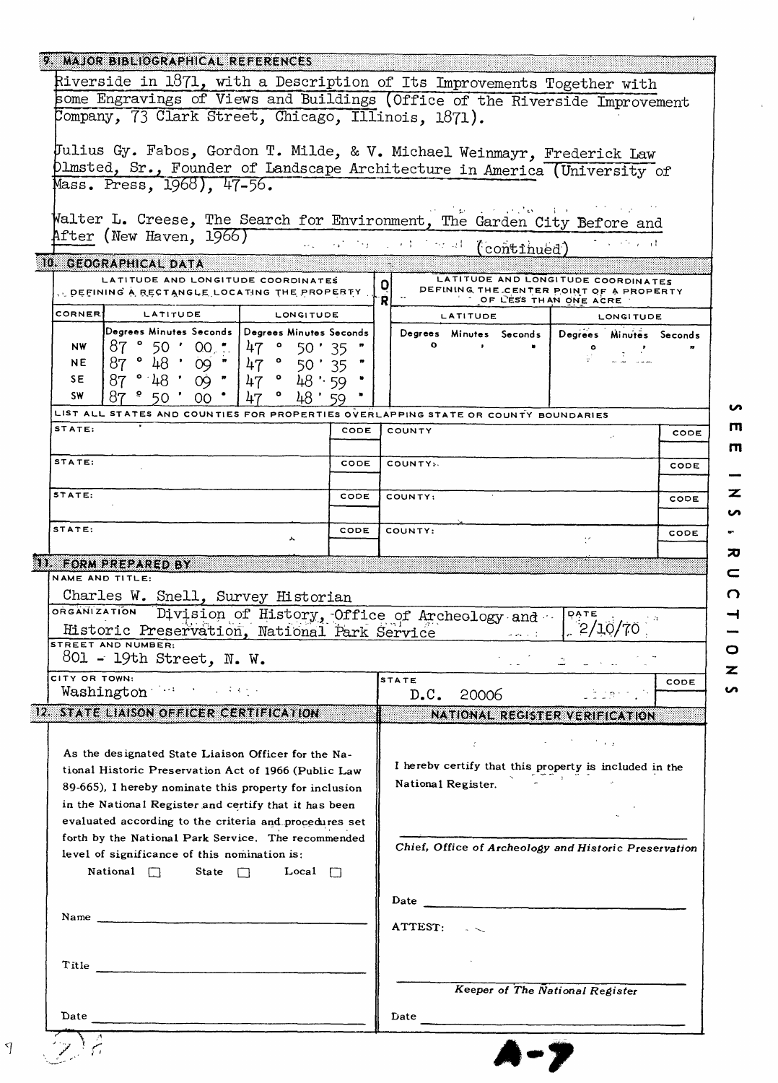| Riverside in 1871, with a Description of Its Improvements Together with                                                                                                  |             |                    |                                        |                                                            |      |
|--------------------------------------------------------------------------------------------------------------------------------------------------------------------------|-------------|--------------------|----------------------------------------|------------------------------------------------------------|------|
| some Engravings of Views and Buildings (Office of the Riverside Improvement                                                                                              |             |                    |                                        |                                                            |      |
| Company, 73 Clark Street, Chicago, Illinois, 1871).                                                                                                                      |             |                    |                                        |                                                            |      |
| Julius Gy. Fabos, Gordon T. Milde, & V. Michael Weinmayr, Frederick Law                                                                                                  |             |                    |                                        |                                                            |      |
| Dlmsted, Sr., Founder of Landscape Architecture in America (University of                                                                                                |             |                    |                                        |                                                            |      |
| Mass. Press, 1968), 47-56.                                                                                                                                               |             |                    |                                        |                                                            |      |
| Walter L. Creese, The Search for Environment, The Garden City Before and                                                                                                 |             |                    |                                        | r <u>od</u> poljski vreda i stanovnik i drugi dr           |      |
| After (New Haven, 1966)                                                                                                                                                  |             |                    |                                        | the state of the                                           |      |
| 10. GEOGRAPHICAL DATA                                                                                                                                                    |             |                    | man states and the state (continued)   |                                                            |      |
| LATITUDE AND LONGITUDE COORDINATES                                                                                                                                       |             | 0                  |                                        | LATITUDE AND LONGITUDE COORDINATES                         |      |
| , DEFINING A RECTANGLE LOCATING THE PROPERTY.                                                                                                                            |             | Ŕ                  | OF LESS THAN ONE ACRE                  | DEFINING THE CENTER POINT OF A PROPERTY                    |      |
| <b>CORNER</b><br>LATITUDE<br><b>LONGITUDE</b>                                                                                                                            |             |                    | <b>LATITUDE</b>                        | <b>LONGITUDE</b>                                           |      |
| Degrees Minutes Seconds   Degrees Minutes Seconds<br>$87°50'00$<br><b>NW</b><br>47<br>50 : 35                                                                            |             | $\mathbf{o}$       | $\sim 100$                             | Degrees Minutes Seconds Degrees Minutes Seconds<br>$\circ$ |      |
| 87°48°09"<br>$47$ $^{\circ}$<br><b>NE</b><br>50 ' 35                                                                                                                     |             |                    |                                        |                                                            |      |
| $47$ $^{\circ}$<br>87°48'09"<br>48 : 59<br>SE.                                                                                                                           |             |                    |                                        |                                                            |      |
| $\bullet$<br><b>SW</b><br>48:59<br>ററ                                                                                                                                    |             |                    |                                        |                                                            |      |
| LIST ALL STATES AND COUNTIES FOR PROPERTIES OVERLAPPING STATE OR COUNTY BOUNDARIES<br>STATE:                                                                             | CODE        | COUNTY             |                                        |                                                            | CODE |
|                                                                                                                                                                          |             |                    |                                        |                                                            |      |
| STATE:                                                                                                                                                                   | CODE        | COUNTY»            |                                        |                                                            | CODE |
| STATE:                                                                                                                                                                   | <b>CODE</b> | COUNTY:            |                                        |                                                            |      |
|                                                                                                                                                                          |             |                    |                                        |                                                            | CODE |
| STATE:<br>۸                                                                                                                                                              | CODE        | COUNTY:            |                                        |                                                            | CODE |
| Charles W. Snell, Survey Historian<br>ORGANIZATION<br>Division of History, Office of Archeology and<br>Historic Preservation, National Park Service<br>STREET AND NUMBER |             |                    | $\omega$ and $\omega$ . $\bar{\omega}$ | DATE<br>ŢА<br>2/10/70                                      |      |
| 801 - 19th Street, N.W.                                                                                                                                                  |             |                    |                                        |                                                            |      |
| CITY OR TOWN:                                                                                                                                                            |             |                    |                                        |                                                            |      |
|                                                                                                                                                                          |             | <b>STATE</b>       |                                        |                                                            |      |
| Washington Williams                                                                                                                                                      |             | D.C.               | 20006                                  | uidann. N                                                  |      |
| 12. STATE LIAISON OFFICER CERTIFICATION                                                                                                                                  |             |                    |                                        | NATIONAL REGISTER VERIFICATION                             |      |
| As the designated State Liaison Officer for the Na-                                                                                                                      |             |                    | ÷.                                     | it and                                                     |      |
| tional Historic Preservation Act of 1966 (Public Law                                                                                                                     |             |                    |                                        | I hereby certify that this property is included in the     |      |
| 89-665), I hereby nominate this property for inclusion                                                                                                                   |             | National Register. |                                        |                                                            |      |
| in the National Register and certify that it has been                                                                                                                    |             |                    |                                        |                                                            |      |
| evaluated according to the criteria and procedures set<br>forth by the National Park Service. The recommended                                                            |             |                    |                                        |                                                            |      |
| level of significance of this nomination is:                                                                                                                             |             |                    |                                        | Chief, Office of Archeology and Historic Preservation      |      |
| National $\Box$<br>State $\Box$<br>Local $\Box$                                                                                                                          |             |                    |                                        |                                                            |      |
|                                                                                                                                                                          |             |                    |                                        |                                                            |      |
|                                                                                                                                                                          |             |                    |                                        |                                                            |      |
|                                                                                                                                                                          |             | ATTEST:            |                                        |                                                            |      |
|                                                                                                                                                                          |             |                    |                                        |                                                            |      |
| Title                                                                                                                                                                    |             |                    |                                        |                                                            | CODE |
| Date                                                                                                                                                                     |             | Date               | <b>Keeper of The National Register</b> |                                                            |      |

 $\overline{m}$  $\mathsf{m}$ - $\overline{\mathbf{z}}$  $\overline{v}$ ÷,  $\bar{\mathbf{z}}$  $\subset$  $\Omega$  $\begin{array}{c} 1 & 1 \\ 0 & 1 \end{array}$ z  $\overline{v}$ 

 $\sim$ 

 $\bar{\ell}$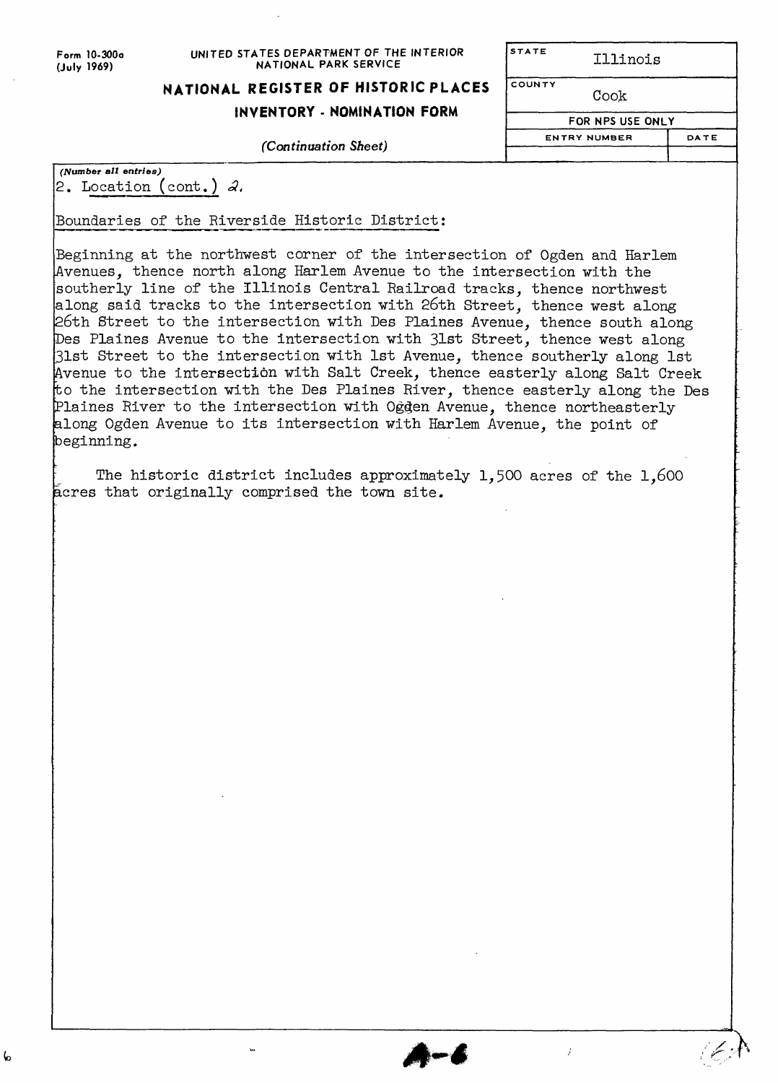$\mathbf{b}$ 

#### **Form 10-300o (July 1969)**

#### **UNITED STATES DEPARTMENT OF THE INTERIOR NATIONAL PARK SERVICE**

Illinois

# **NATIONAL REGISTER OF HISTORIC PLACES**

COUNTY

**STATE** 

## Cook

**INVENTORY - NOMINATION FORM**

*(Number all entries)* 2. Location **(cont.) £<**

Boundaries of the Riverside Historic District:

 $\overline{\mathbf{u}}$ 

Beginning at the northwest corner of the intersection of Ogden and Harlem Avenues, thence north along Harlem Avenue to the intersection with the southerly line of the Illinois Central Railroad tracks, thence northwest along said tracks to the intersection with 26th Street, thence west along 26th Street to the intersection with Des Plaines Avenue, thence south along Des Plaines Avenue to the intersection with 31st Street, thence west along 31st Street to the intersection with 1st Avenue, thence southerly along 1st Avenue to the intersection with Salt Creek, thence easterly along Salt Creek to the intersection with the Des Plaines River, thence easterly along the Des Plaines River to the intersection with Oggen Avenue, thence northeasterly along Ogden Avenue to its intersection with Harlem Avenue, the point of beginning.

The historic district includes approximately 1,500 acres of the 1,600 acres that originally comprised the town site.

*(Continuation Sheet)*

**FOR NPS USE ONLY** 

Ź

**ENTRY NUMBER**

DATE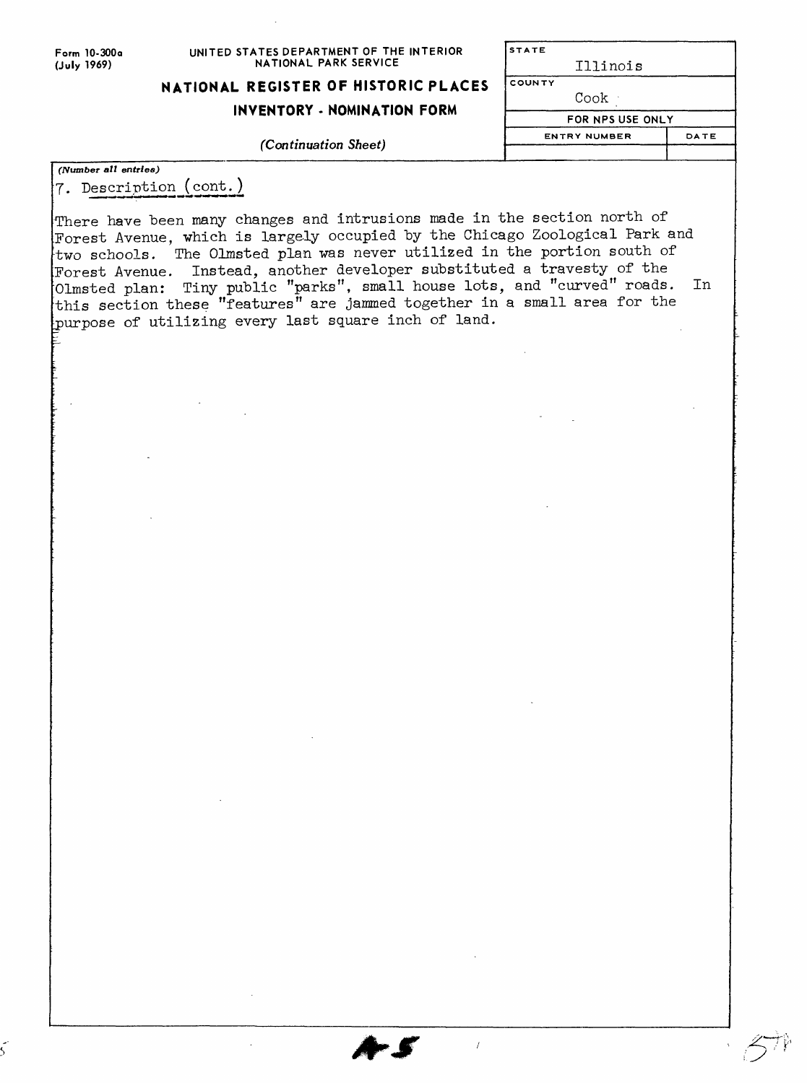| Form 10-300a |
|--------------|
| (July 1969)  |

#### **UNITED STATES DEPARTMENT OF THE INTERIOR NATIONAL PARK SERVICE**

STATE

Illinois

## **NATIONAL REGISTER OF HISTORIC PLACES**

## **INVENTORY - NOMINATION FORM**

#### *(Continuation Sheet)*

| COUNTY              |      |
|---------------------|------|
| Cook                |      |
| FOR NPS USE ONLY    |      |
| <b>ENTRY NUMBER</b> | DATE |
|                     |      |

*(Number all entries)* 7. Description

There have been many changes and intrusions made in the section north of Forest Avenue, which is largely occupied by the Chicago Zoological Park and two schools. The Olmsted plan was never utilized in the portion south of Forest Avenue. Instead, another developer substituted a travesty of the •Olmsted plan: Tiny public "parks", small house lots, and "curved" roads. •this section these "features" are jammed together in a small area for the purpose of utilizing every last square inch of land. In

 $\overline{1}$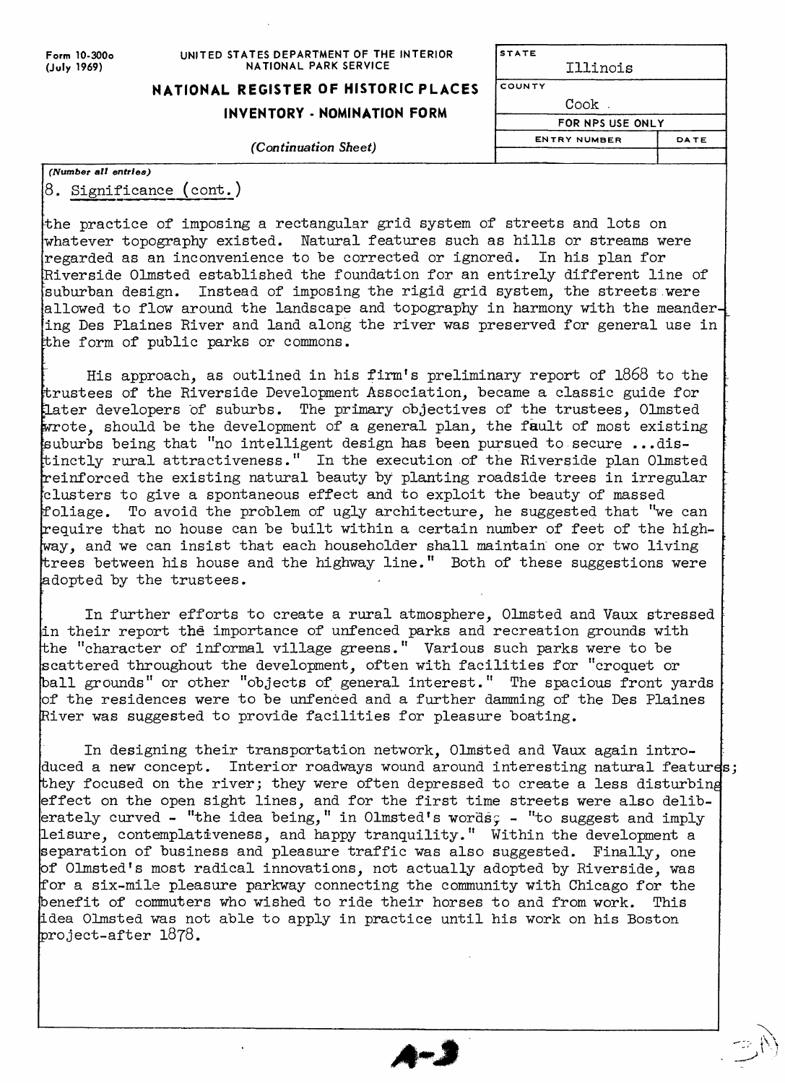**Form 10-300o (July 1969)**

#### **UNITED STATES DEPARTMENT OF THE INTERIOR NATIONAL PARK SERVICE**

# **NATIONAL REGISTER OF HISTORIC PLACES**

**INVENTORY - NOMINATION FORM**

#### **(Continuation Sheet)**

| TAIL                |      |
|---------------------|------|
| Illinois            |      |
| ΟυΝΤΥ               |      |
| Cook .              |      |
| FOR NPS USE ONLY    |      |
| <b>ENTRY NUMBER</b> | DATE |
|                     |      |

 $\overline{\mathbf{c}}$ 

| (Number all entries) |                                |  |  |  |
|----------------------|--------------------------------|--|--|--|
|                      | $\beta$ . Significance (cont.) |  |  |  |

the practice of imposing a rectangular grid system of streets and lots on •whatever topography existed. Natural features such as hills or streams were regarded as an inconvenience to be corrected or ignored. In his plan for Riverside Olmsted established the foundation for an entirely different line of suburban design. Instead of imposing the rigid grid system, the streets.were allowed to flow around the landscape and topography in harmony with the meandering Des Plaines River and land along the river was preserved for general use in the form of public parks or commons.

His approach, as outlined in his firm's preliminary report of 1868 to the trustees of the Riverside Development Association, became a classic guide for later developers of suburbs. The primary objectives of the trustees, Olmsted wrote, should be the development of a general plan, the fault of most existing suburbs being that "no intelligent design has been pursued to secure ...distinctly rural attractiveness." In the execution of the Riverside plan Olmsted reinforced the existing natural beauty by planting roadside trees in irregular clusters to give a spontaneous effect and to exploit the beauty of massed foliage. To avoid the problem of ugly architecture, he suggested that "we can require that no house can be built within a certain number of feet of the highway, and we can insist that each householder shall maintain one or two living trees between his house and the highway line." Both of these suggestions were adopted by the trustees.

In further efforts to create a rural atmosphere, Olmsted and Vaux stressed in their report the importance of unfenced parks and recreation grounds with the "character of informal village greens." Various such parks were to be scattered throughout the development, often with facilities for "croquet or ball grounds" or other "objects of general interest." The spacious front vards of the residences were to be unfenced and a further damming of the Des Plaines River was suggested to provide facilities for pleasure boating.

In designing their transportation network, Olmsted and Vaux again introduced a new concept. Interior roadways wound around interesting natural features; hey focused on the river; they were often depressed to create a less disturbing effect on the open sight lines, and for the first time streets were also deliberately curved - "the idea being," in Olmsted's words; - "to suggest and imply leisure, contemplativeness, and happy tranquility." Within the development a separation of business and pleasure traffic was also suggested. Finally, one of Olmsted's most radical innovations, not actually adopted by Riverside, was for a six-mile pleasure parkway connecting the community with Chicago for the benefit of commuters who wished to ride their horses to and from work. This idea Olmsted was not able to apply in practice until his work on his Boston project-after 1878.